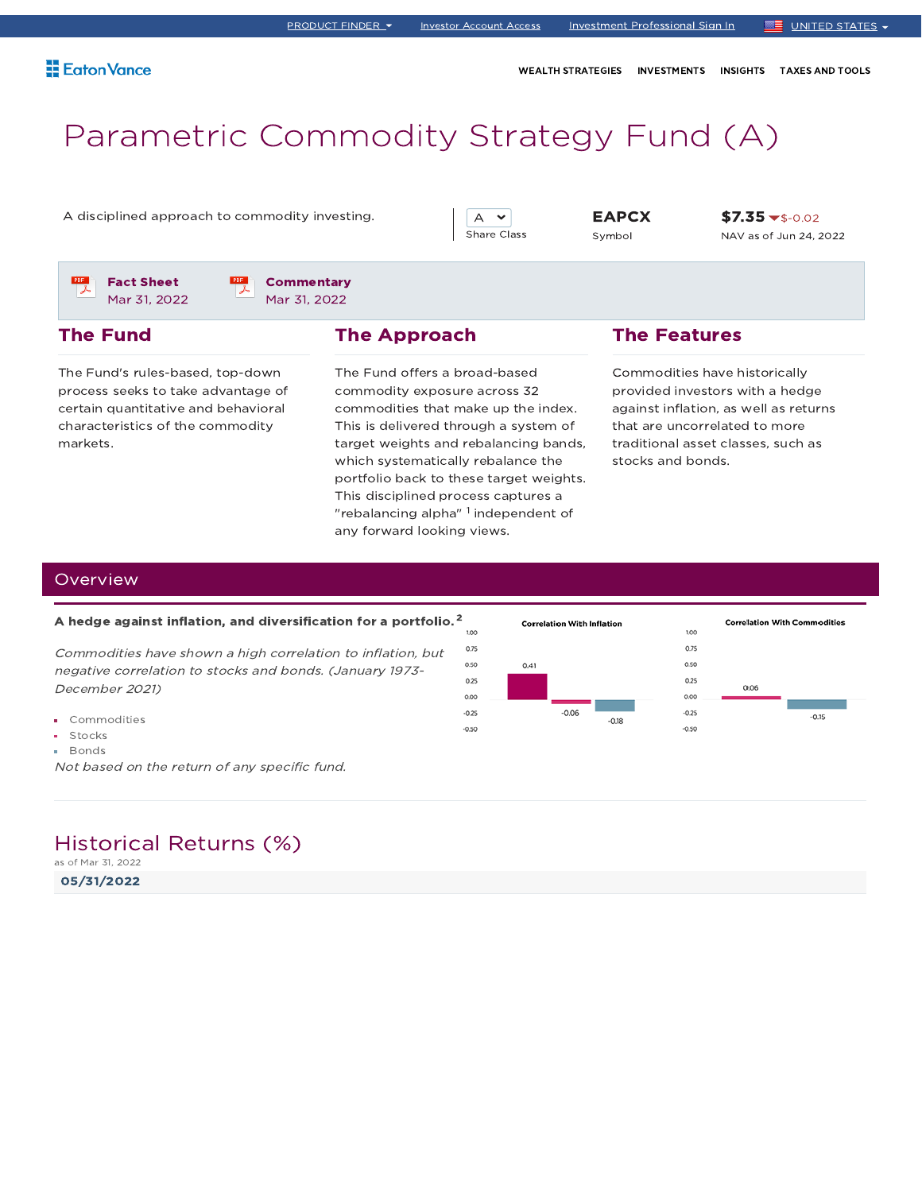WEALTH STRATEGIES INVESTMENTS INSIGHTS TAXES AND TOOLS

# Parametric Commodity Strategy Fund (A)

A disciplined approach to commodity investing.  $\begin{array}{|c|c|c|c|c|c|}\n\hline\n\end{array}$  A  $\rightarrow$  EAPCX



Symbol

 $$7.35 \times $-0.02$$ NAV as of Jun 24, 2022

Fact Sheet Mar 31, 2022

The Fund



### The Approach

The Fund's rules-based, top-down process seeks to take advantage of certain quantitative and behavioral characteristics of the commodity markets.

The Fund offers a broad-based commodity exposure across 32 commodities that make up the index. This is delivered through a system of target weights and rebalancing bands, which systematically rebalance the portfolio back to these target weights. This disciplined process captures a "rebalancing alpha"  $^{\rm 1}$  independent of any forward looking views.

### The Features

Commodities have historically provided investors with a hedge against inflation, as well as returns that are uncorrelated to more traditional asset classes, such as stocks and bonds.

### **Overview**

#### A hedge against inflation, and diversification for a portfolio. $^{\mathsf{2}}$

Commodities have shown <sup>a</sup> high correlation to inflation, but negative correlation to stocks and bonds. (January 1973- December 2021)

- Commodities
- **Stocks**
- **Bonds**

Not based on the return of any specific fund.

### Historical Returns (%)

as of Mar 31, 2022

05/31/2022

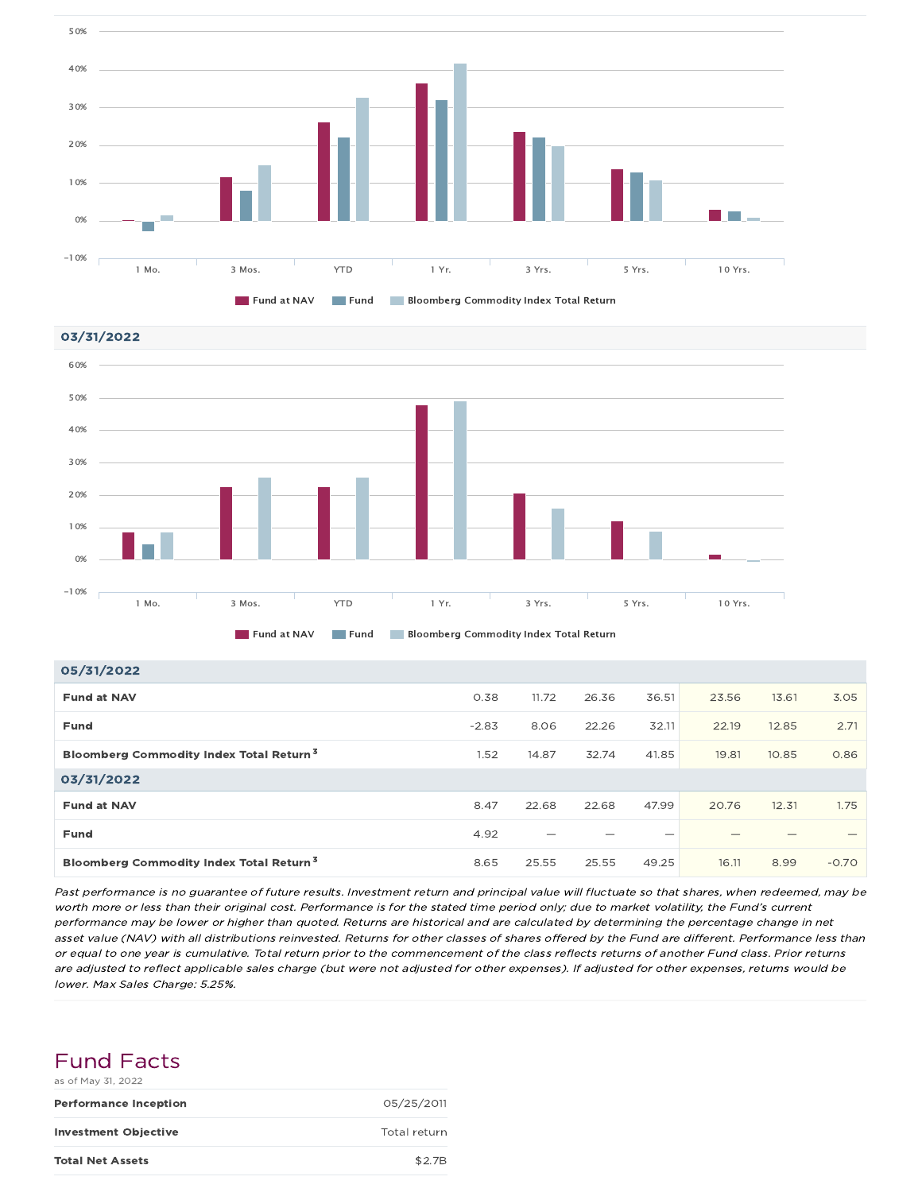





| 05/31/2022                                          |         |       |       |       |       |       |         |
|-----------------------------------------------------|---------|-------|-------|-------|-------|-------|---------|
| <b>Fund at NAV</b>                                  | 0.38    | 11.72 | 26.36 | 36.51 | 23.56 | 13.61 | 3.05    |
| <b>Fund</b>                                         | $-2.83$ | 8.06  | 22.26 | 32.11 | 22.19 | 12.85 | 2.71    |
| Bloomberg Commodity Index Total Return <sup>3</sup> | 1.52    | 14.87 | 32.74 | 41.85 | 19.81 | 10.85 | 0.86    |
| 03/31/2022                                          |         |       |       |       |       |       |         |
| <b>Fund at NAV</b>                                  | 8.47    | 22.68 | 22.68 | 47.99 | 20.76 | 12.31 | 1.75    |
| <b>Fund</b>                                         | 4.92    |       |       |       |       |       |         |
| Bloomberg Commodity Index Total Return <sup>3</sup> | 8.65    | 25.55 | 25.55 | 49.25 | 16.11 | 8.99  | $-0.70$ |

Past performance is no guarantee of future results. Investment return and principal value will fluctuate so that shares, when redeemed, may be worth more or less than their original cost. Performance is for the stated time period only; due to market volatility, the Fund's current performance may be lower or higher than quoted. Returns are historical and are calculated by determining the percentage change in net asset value (NAV) with all distributions reinvested. Returns for other classes of shares offered by the Fund are different. Performance less than or equal to one year is cumulative. Total return prior to the commencement of the class reflects returns of another Fund class. Prior returns are adjusted to reflect applicable sales charge (but were not adjusted for other expenses). If adjusted for other expenses, returns would be lower. Max Sales Charge: 5.25%.

| <b>Fund Facts</b>  |  |
|--------------------|--|
| as of May 31, 2022 |  |

| <b>Performance Inception</b> | 05/25/2011   |
|------------------------------|--------------|
| <b>Investment Objective</b>  | Total return |
| <b>Total Net Assets</b>      | \$2.7B       |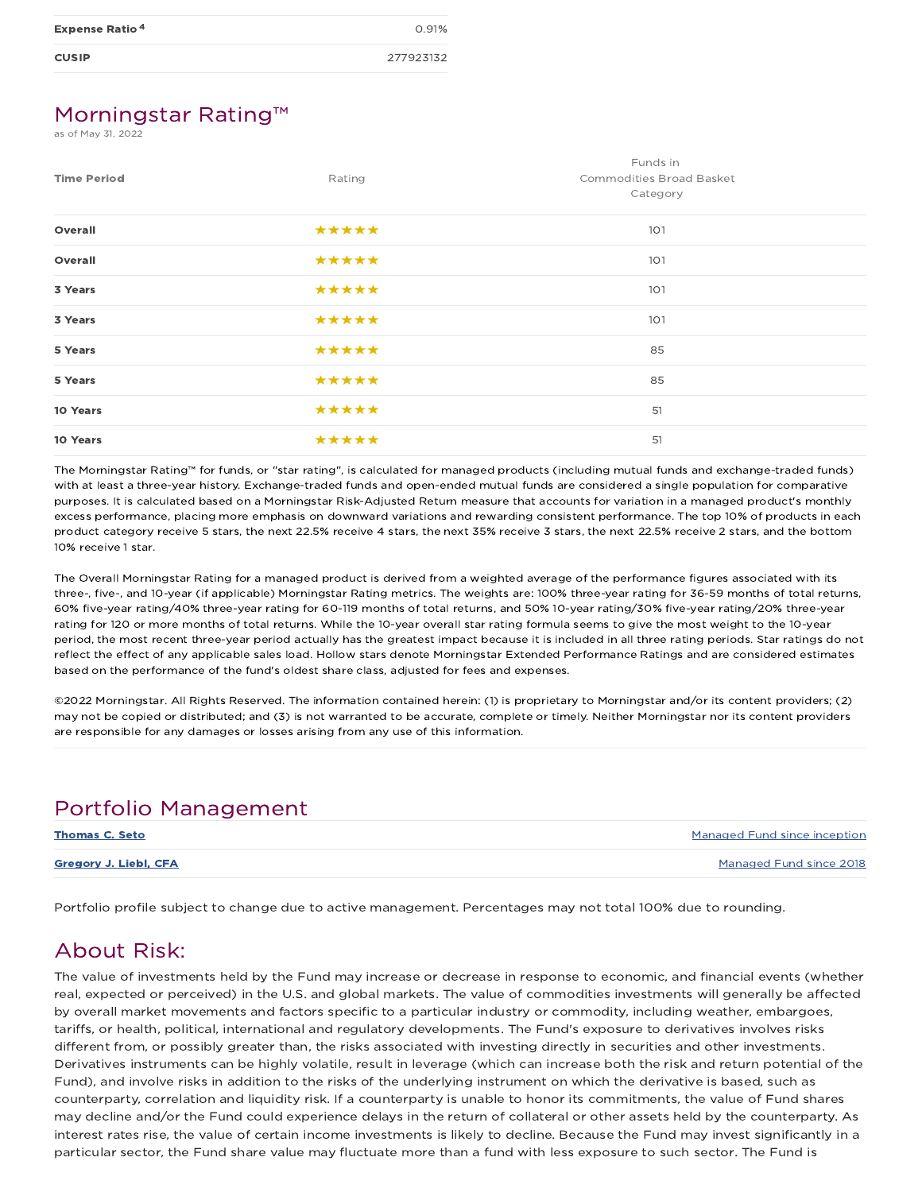| <b>Expense Ratio<sup>4</sup></b> | 0.91%     |
|----------------------------------|-----------|
| <b>CUSIP</b>                     | 277923132 |

### Morningstar Rating™

as of May 31, 2022

| <b>Time Period</b> | Rating | Funds in<br>Commodities Broad Basket<br>Category |
|--------------------|--------|--------------------------------------------------|
| Overall            | *****  | 101                                              |
| Overall            | *****  | 101                                              |
| 3 Years            | *****  | 101                                              |
| 3 Years            | *****  | 101                                              |
| 5 Years            | *****  | 85                                               |
| 5 Years            | *****  | 85                                               |
| 10 Years           | *****  | 51                                               |
| 10 Years           | *****  | 51                                               |

The Morningstar Rating™ for funds, or "star rating", is calculated for managed products (including mutual funds and exchange-traded funds) with at least a three-year history. Exchange-traded funds and open-ended mutual funds are considered a single population for comparative purposes. It is calculated based on a Morningstar Risk-Adjusted Return measure that accounts for variation in a managed product's monthly excess performance, placing more emphasis on downward variations and rewarding consistent performance. The top 10% of products in each product category receive 5 stars, the next 22.5% receive 4 stars, the next 35% receive 3 stars, the next 22.5% receive 2 stars, and the bottom 10% receive 1 star.

The Overall Morningstar Rating for a managed product is derived from a weighted average of the performance figures associated with its three-, five-, and 10-year (if applicable) Morningstar Rating metrics. The weights are: 100% three-year rating for 36-59 months of total returns, 60% five-year rating/40% three-year rating for 60-119 months of total returns, and 50% 10-year rating/30% five-year rating/20% three-year rating for 120 or more months of total returns. While the 10-year overall star rating formula seems to give the most weight to the 10-year period, the most recent three-year period actually has the greatest impact because it is included in all three rating periods. Star ratings do not reflect the effect of any applicable sales load. Hollow stars denote Morningstar Extended Performance Ratings and are considered estimates based on the performance of the fund's oldest share class, adjusted for fees and expenses.

©2022 Morningstar. All Rights Reserved. The information contained herein: (1) is proprietary to Morningstar and/or its content providers; (2) may not be copied or distributed; and (3) is not warranted to be accurate, complete or timely. Neither Morningstar nor its content providers are responsible for any damages or losses arising from any use of this information.

## Portfolio Management

| <b>Thomas C. Seto</b> | Managed Fund since inception |
|-----------------------|------------------------------|
| Gregory J. Liebl, CFA | Managed Fund since 2018      |

Portfolio profile subject to change due to active management. Percentages may not total 100% due to rounding.

### About Risk:

The value of investments held by the Fund may increase or decrease in response to economic, and financial events (whether real, expected or perceived) in the U.S. and global markets. The value of commodities investments will generally be affected by overall market movements and factors specific to a particular industry or commodity, including weather, embargoes, tariffs, or health, political, international and regulatory developments. The Fund's exposure to derivatives involves risks different from, or possibly greater than, the risks associated with investing directly in securities and other investments. Derivatives instruments can be highly volatile, result in leverage (which can increase both the risk and return potential of the Fund), and involve risks in addition to the risks of the underlying instrument on which the derivative is based, such as counterparty, correlation and liquidity risk. If a counterparty is unable to honor its commitments, the value of Fund shares may decline and/or the Fund could experience delays in the return of collateral or other assets held by the counterparty. As interest rates rise, the value of certain income investments is likely to decline. Because the Fund may invest significantly in a particular sector, the Fund share value may fluctuate more than a fund with less exposure to such sector. The Fund is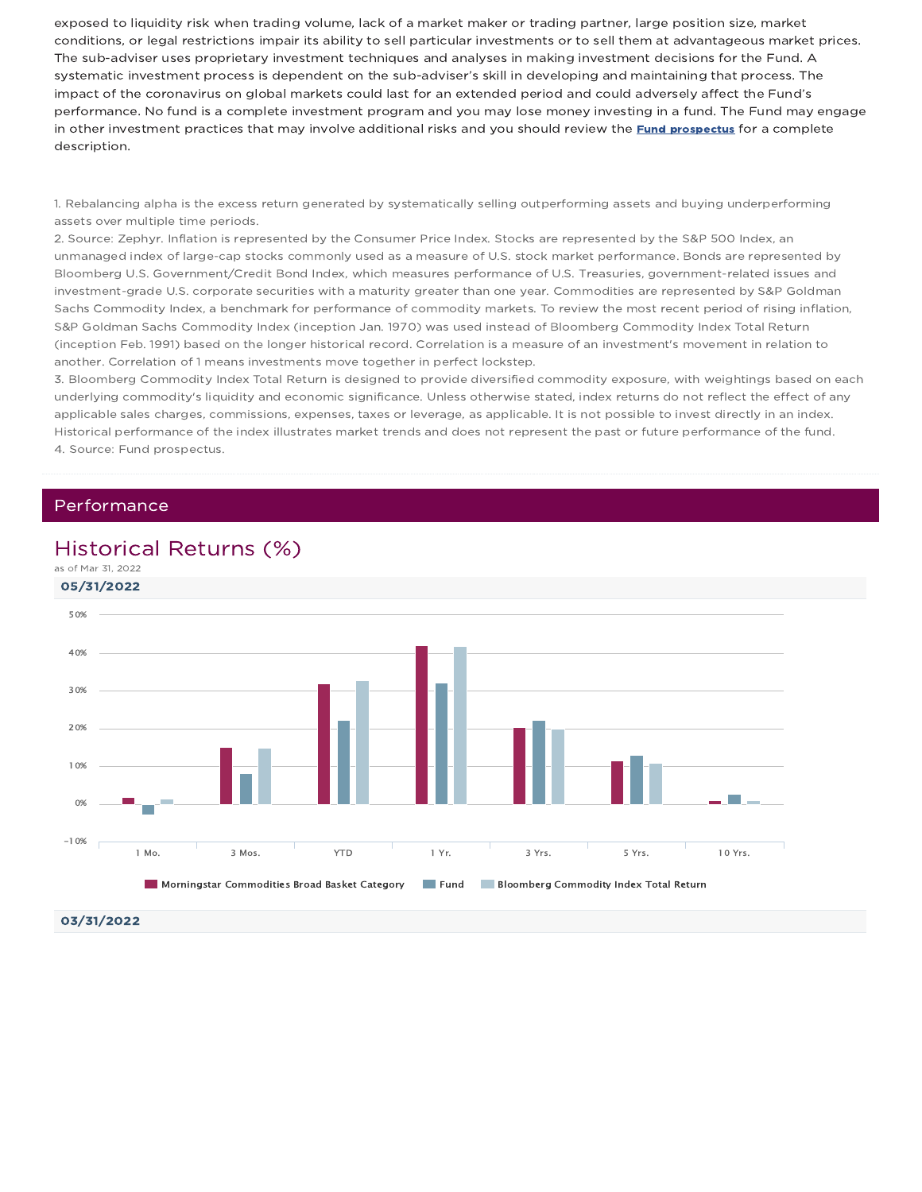exposed to liquidity risk when trading volume, lack of a market maker or trading partner, large position size, market conditions, or legal restrictions impair its ability to sell particular investments or to sell them at advantageous market prices. The sub-adviser uses proprietary investment techniques and analyses in making investment decisions for the Fund. A systematic investment process is dependent on the sub-adviser's skill in developing and maintaining that process. The impact of the coronavirus on global markets could last for an extended period and could adversely affect the Fund's performance. No fund is a complete investment program and you may lose money investing in a fund. The Fund may engage in other investment practices that may involve additional risks and you should review the **Fund prospectus** for a complete description.

1. Rebalancing alpha is the excess return generated by systematically selling outperforming assets and buying underperforming assets over multiple time periods.

2. Source: Zephyr. Inflation is represented by the Consumer Price Index. Stocks are represented by the S&P 500 Index, an unmanaged index of large-cap stocks commonly used as a measure of U.S. stock market performance. Bonds are represented by Bloomberg U.S. Government/Credit Bond Index, which measures performance of U.S. Treasuries, government-related issues and investment-grade U.S. corporate securities with a maturity greater than one year. Commodities are represented by S&P Goldman Sachs Commodity Index, a benchmark for performance of commodity markets. To review the most recent period of rising inflation, S&P Goldman Sachs Commodity Index (inception Jan. 1970) was used instead of Bloomberg Commodity Index Total Return (inception Feb. 1991) based on the longer historical record. Correlation is a measure of an investment's movement in relation to another. Correlation of 1 means investments move together in perfect lockstep.

3. Bloomberg Commodity Index Total Return is designed to provide diversified commodity exposure, with weightings based on each underlying commodity's liquidity and economic significance. Unless otherwise stated, index returns do not reflect the effect of any applicable sales charges, commissions, expenses, taxes or leverage, as applicable. It is not possible to invest directly in an index. Historical performance of the index illustrates market trends and does not represent the past or future performance of the fund. 4. Source: Fund prospectus.

### Performance

### Historical Returns (%)



03/31/2022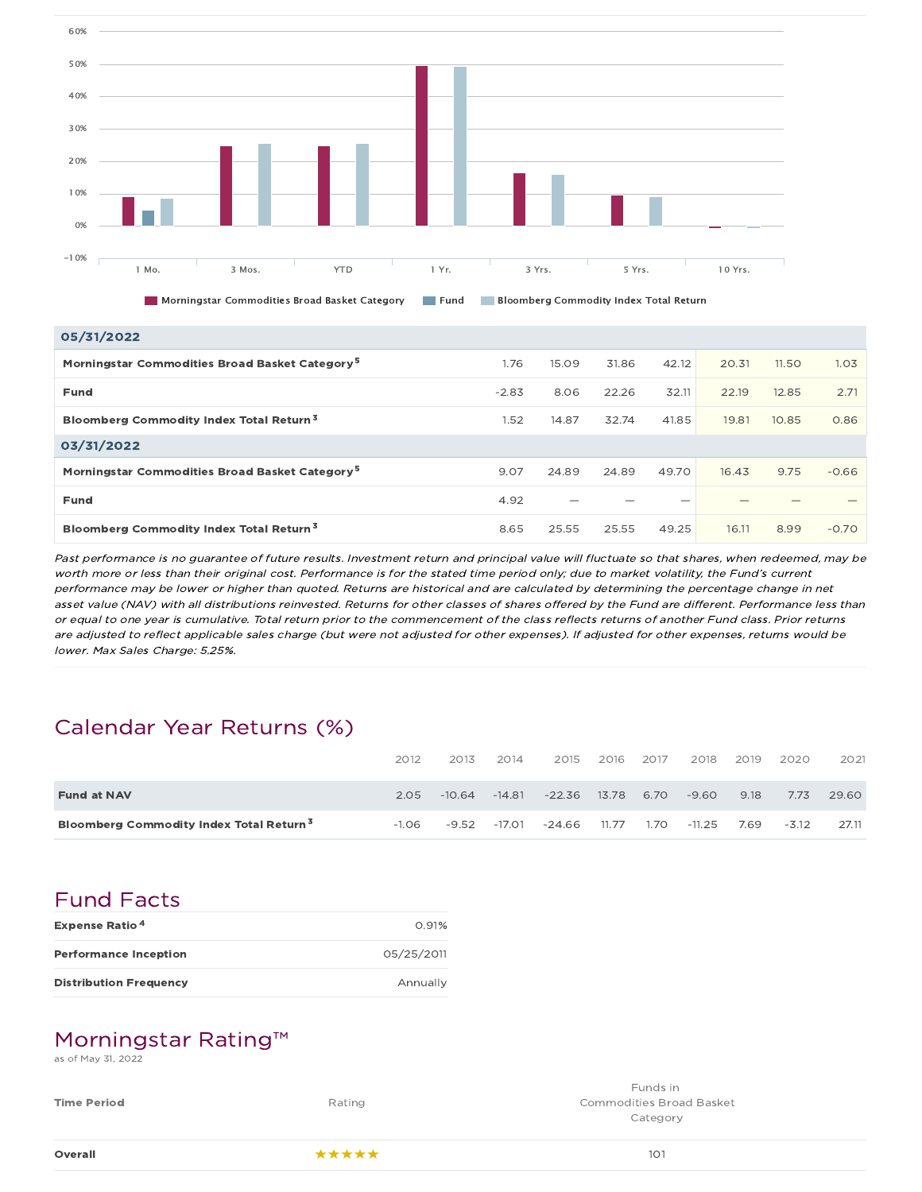

05/31/2022

| <b>US/SI/ZUZZ</b>                                          |         |       |       |       |       |       |         |
|------------------------------------------------------------|---------|-------|-------|-------|-------|-------|---------|
| Morningstar Commodities Broad Basket Category <sup>5</sup> | 1.76    | 15.09 | 31.86 | 42.12 | 20.31 | 11.50 | 1.03    |
| Fund                                                       | $-2.83$ | 8.06  | 22.26 | 32.11 | 22.19 | 12.85 | 2.71    |
| <b>Bloomberg Commodity Index Total Return<sup>3</sup></b>  | 1.52    | 14.87 | 32.74 | 41.85 | 19.81 | 10.85 | 0.86    |
| 03/31/2022                                                 |         |       |       |       |       |       |         |
| Morningstar Commodities Broad Basket Category <sup>5</sup> | 9.07    | 24.89 | 24.89 | 49.70 | 16.43 | 9.75  | $-0.66$ |
| Fund                                                       | 4.92    |       |       |       |       |       |         |
| Bloomberg Commodity Index Total Return <sup>3</sup>        | 8.65    | 25.55 | 25.55 | 49.25 | 16.11 | 8.99  | $-0.70$ |

Past performance is no guarantee of future results. Investment return and principal value will fluctuate so that shares, when redeemed, may be worth more or less than their original cost. Performance is for the stated time period only; due to market volatility, the Fund's current performance may be lower or higher than quoted. Returns are historical and are calculated by determining the percentage change in net asset value (NAV) with all distributions reinvested. Returns for other classes of shares offered by the Fund are different. Performance less than or equal to one year is cumulative. Total return prior to the commencement of the class reflects returns of another Fund class. Prior returns are adjusted to reflect applicable sales charge (but were not adjusted for other expenses). If adjusted for other expenses, returns would be lower. Max Sales Charge: 5.25%.

## Calendar Year Returns (%)

|                                                     | 2012    | 2013     | 2014     | 2015     | 2016  | 2017 | 2018     | 2019 | 2020    | 2021  |
|-----------------------------------------------------|---------|----------|----------|----------|-------|------|----------|------|---------|-------|
| <b>Fund at NAV</b>                                  | 2.05    | $-10.64$ | $-14.81$ | $-22.36$ | 13.78 | 6.70 | $-9.60$  | 9.18 | 7.73    | 29.60 |
| Bloomberg Commodity Index Total Return <sup>3</sup> | $-1.06$ | $-9.52$  | -17.01   | $-24.66$ | 11.77 | 1.70 | $-11.25$ | 7.69 | $-3.12$ | 27.11 |

### Fund Facts

| <b>Expense Ratio<sup>4</sup></b> | 0.91%      |
|----------------------------------|------------|
| <b>Performance Inception</b>     | 05/25/2011 |
| <b>Distribution Frequency</b>    | Annually   |

### Morningstar Rating™

as of May 31, 2022

| Overall            | *****  | 101                                         |
|--------------------|--------|---------------------------------------------|
| <b>Time Period</b> | Rating | <b>Commodities Broad Basket</b><br>Category |
|                    |        | Funds in                                    |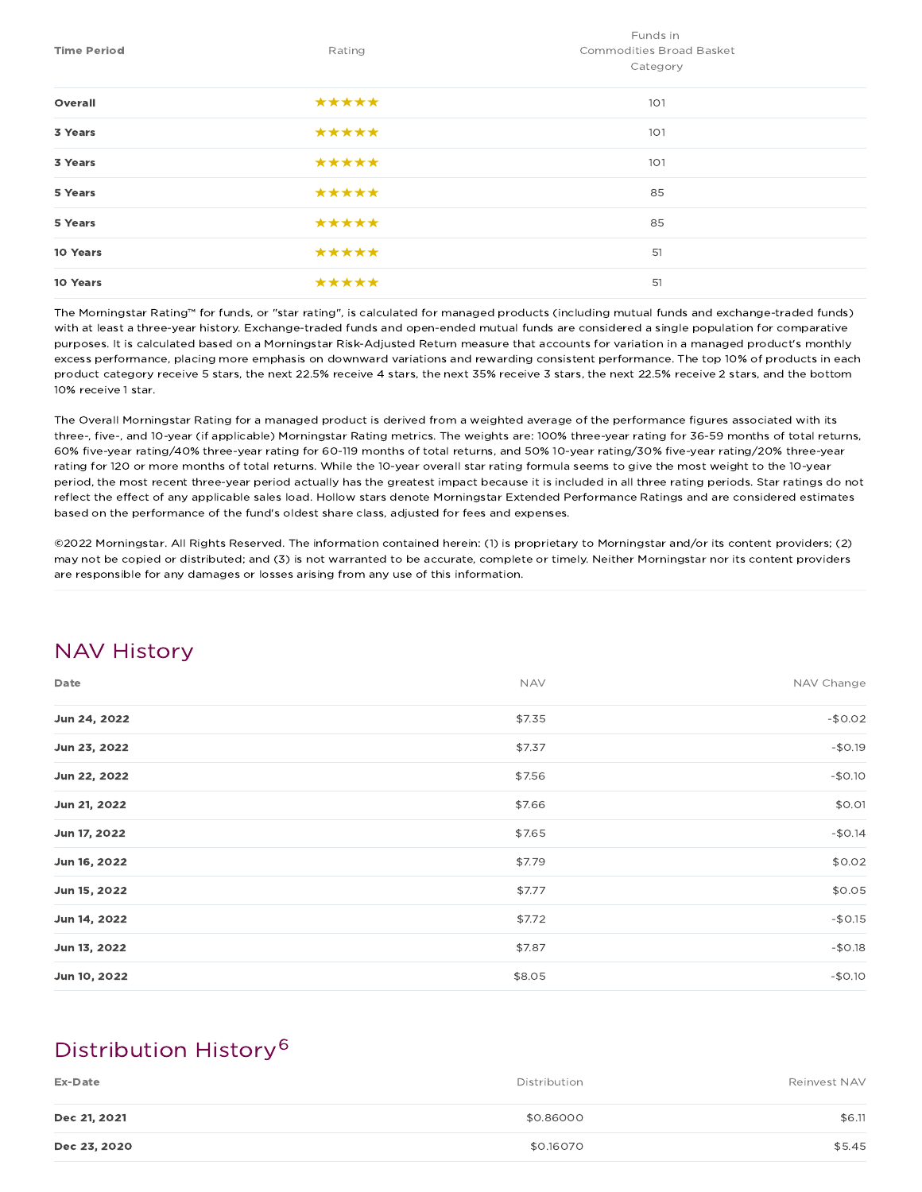|                    |        | Funds in                        |  |  |  |
|--------------------|--------|---------------------------------|--|--|--|
| <b>Time Period</b> | Rating | <b>Commodities Broad Basket</b> |  |  |  |
|                    |        | Category                        |  |  |  |
| Overall            | *****  | 101                             |  |  |  |
| 3 Years            | *****  | 101                             |  |  |  |
| 3 Years            | *****  | 101                             |  |  |  |
| 5 Years            | *****  | 85                              |  |  |  |
| 5 Years            | *****  | 85                              |  |  |  |
| 10 Years           | *****  | 51                              |  |  |  |
| 10 Years           | *****  | 51                              |  |  |  |

The Morningstar Rating™ for funds, or "star rating", is calculated for managed products (including mutual funds and exchange-traded funds) with at least a three-year history. Exchange-traded funds and open-ended mutual funds are considered a single population for comparative purposes. It is calculated based on a Morningstar Risk-Adjusted Return measure that accounts for variation in a managed product's monthly excess performance, placing more emphasis on downward variations and rewarding consistent performance. The top 10% of products in each product category receive 5 stars, the next 22.5% receive 4 stars, the next 35% receive 3 stars, the next 22.5% receive 2 stars, and the bottom 10% receive 1 star.

The Overall Morningstar Rating for a managed product is derived from a weighted average of the performance figures associated with its three-, five-, and 10-year (if applicable) Morningstar Rating metrics. The weights are: 100% three-year rating for 36-59 months of total returns, 60% five-year rating/40% three-year rating for 60-119 months of total returns, and 50% 10-year rating/30% five-year rating/20% three-year rating for 120 or more months of total returns. While the 10-year overall star rating formula seems to give the most weight to the 10-year period, the most recent three-year period actually has the greatest impact because it is included in all three rating periods. Star ratings do not reflect the effect of any applicable sales load. Hollow stars denote Morningstar Extended Performance Ratings and are considered estimates based on the performance of the fund's oldest share class, adjusted for fees and expenses.

©2022 Morningstar. All Rights Reserved. The information contained herein: (1) is proprietary to Morningstar and/or its content providers; (2) may not be copied or distributed; and (3) is not warranted to be accurate, complete or timely. Neither Morningstar nor its content providers are responsible for any damages or losses arising from any use of this information.

### NAV History

| Date         | <b>NAV</b> | NAV Change |
|--------------|------------|------------|
| Jun 24, 2022 | \$7.35     | $-$0.02$   |
| Jun 23, 2022 | \$7.37     | $-$0.19$   |
| Jun 22, 2022 | \$7.56     | $-$0.10$   |
| Jun 21, 2022 | \$7.66     | \$0.01     |
| Jun 17, 2022 | \$7.65     | $-$0.14$   |
| Jun 16, 2022 | \$7.79     | \$0.02     |
| Jun 15, 2022 | \$7.77     | \$0.05     |
| Jun 14, 2022 | \$7.72     | $-$0.15$   |
| Jun 13, 2022 | \$7.87     | $-$0.18$   |
| Jun 10, 2022 | \$8.05     | $-$0.10$   |

## Distribution History 6

| Ex-Date      | Distribution | Reinvest NAV |
|--------------|--------------|--------------|
| Dec 21, 2021 | \$0.86000    | \$6.11       |
| Dec 23, 2020 | \$0.16070    | \$5.45       |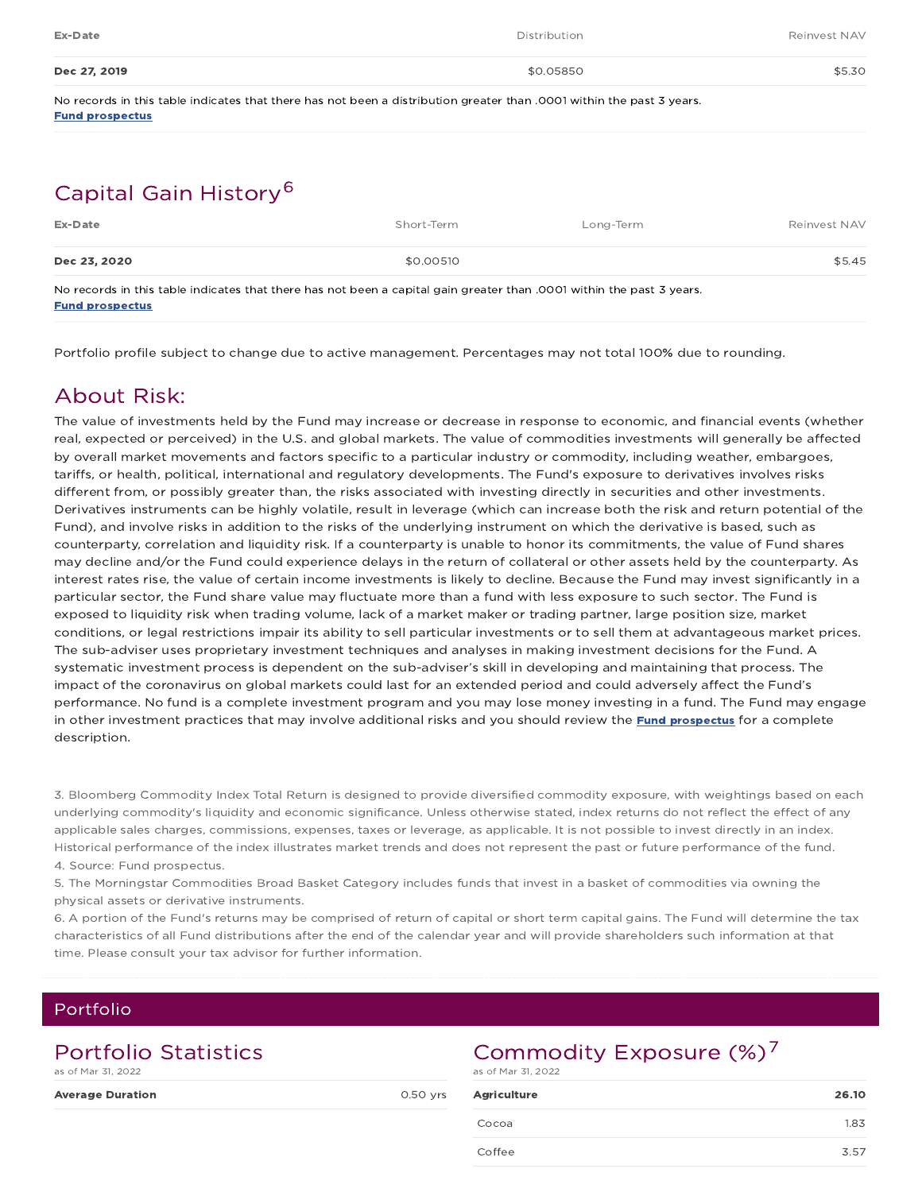| Ex-Date      | Distribution | Reinvest NAV |
|--------------|--------------|--------------|
| Dec 27, 2019 | \$0.05850    | \$5.30       |

No records in this table indicates that there has not been a distribution greater than .0001 within the past 3 years. Fund prospectus

## Capital Gain History 6

| Ex-Date      | Short-Term                                                                                                            | Long-Term | Reinvest NAV |
|--------------|-----------------------------------------------------------------------------------------------------------------------|-----------|--------------|
| Dec 23, 2020 | \$0,00510                                                                                                             |           | \$5.45       |
|              | No records in this table indicates that there has not been a capital gain greater than .0001 within the past 3 years. |           |              |

Fund prospectus

Portfolio profile subject to change due to active management. Percentages may not total 100% due to rounding.

## About Risk:

The value of investments held by the Fund may increase or decrease in response to economic, and financial events (whether real, expected or perceived) in the U.S. and global markets. The value of commodities investments will generally be affected by overall market movements and factors specific to a particular industry or commodity, including weather, embargoes, tariffs, or health, political, international and regulatory developments. The Fund's exposure to derivatives involves risks different from, or possibly greater than, the risks associated with investing directly in securities and other investments. Derivatives instruments can be highly volatile, result in leverage (which can increase both the risk and return potential of the Fund), and involve risks in addition to the risks of the underlying instrument on which the derivative is based, such as counterparty, correlation and liquidity risk. If a counterparty is unable to honor its commitments, the value of Fund shares may decline and/or the Fund could experience delays in the return of collateral or other assets held by the counterparty. As interest rates rise, the value of certain income investments is likely to decline. Because the Fund may invest significantly in a particular sector, the Fund share value may fluctuate more than a fund with less exposure to such sector. The Fund is exposed to liquidity risk when trading volume, lack of a market maker or trading partner, large position size, market conditions, or legal restrictions impair its ability to sell particular investments or to sell them at advantageous market prices. The sub-adviser uses proprietary investment techniques and analyses in making investment decisions for the Fund. A systematic investment process is dependent on the sub-adviser's skill in developing and maintaining that process. The impact of the coronavirus on global markets could last for an extended period and could adversely affect the Fund's performance. No fund is a complete investment program and you may lose money investing in a fund. The Fund may engage in other investment practices that may involve additional risks and you should review the **Fund prospectus** for a complete description.

3. Bloomberg Commodity Index Total Return is designed to provide diversified commodity exposure, with weightings based on each underlying commodity's liquidity and economic significance. Unless otherwise stated, index returns do not reflect the effect of any applicable sales charges, commissions, expenses, taxes or leverage, as applicable. It is not possible to invest directly in an index. Historical performance of the index illustrates market trends and does not represent the past or future performance of the fund. 4. Source: Fund prospectus.

5. The Morningstar Commodities Broad Basket Category includes funds that invest in a basket of commodities via owning the physical assets or derivative instruments.

6. A portion of the Fund's returns may be comprised of return of capital or short term capital gains. The Fund will determine the tax characteristics of all Fund distributions after the end of the calendar year and will provide shareholders such information at that time. Please consult your tax advisor for further information.

### Portfolio

## Portfolio Statistics

as of Mar 31, 2022

**Average Duration and Average Duration and Average Average Structure COSO yrs** 

## Commodity Exposure  $(\%)^7$

as of Mar 31, 2022

| <b>Agriculture</b> | 26.10 |
|--------------------|-------|
| Cocoa              | 1.83  |
| Coffee             | 3.57  |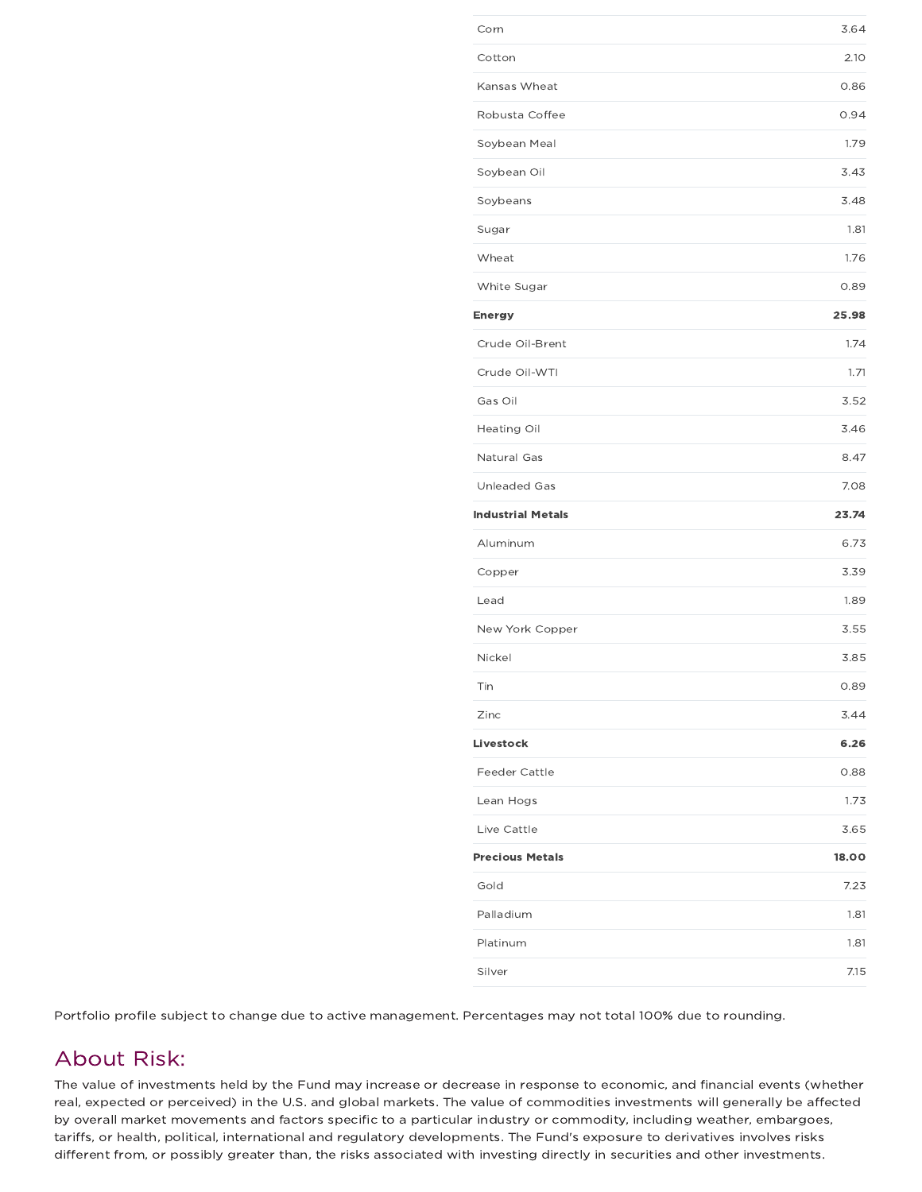| Corn                     | 3.64  |
|--------------------------|-------|
| Cotton                   | 2.10  |
| Kansas Wheat             | 0.86  |
| Robusta Coffee           | 0.94  |
| Soybean Meal             | 1.79  |
| Soybean Oil              | 3.43  |
| Soybeans                 | 3.48  |
| Sugar                    | 1.81  |
| Wheat                    | 1.76  |
| White Sugar              | 0.89  |
| Energy                   | 25.98 |
| Crude Oil-Brent          | 1.74  |
| Crude Oil-WTI            | 1.71  |
| Gas Oil                  | 3.52  |
| Heating Oil              | 3.46  |
| Natural Gas              | 8.47  |
| <b>Unleaded Gas</b>      | 7.08  |
| <b>Industrial Metals</b> | 23.74 |
| Aluminum                 | 6.73  |
| Copper                   | 3.39  |
| Lead                     | 1.89  |
| New York Copper          | 3.55  |
| Nickel                   | 3.85  |
| Tin                      | 0.89  |
| Zinc                     | 3.44  |
| Livestock                | 6.26  |
| <b>Feeder Cattle</b>     | 0.88  |
| Lean Hogs                | 1.73  |
| Live Cattle              | 3.65  |
| <b>Precious Metals</b>   | 18.00 |
| Gold                     | 7.23  |
| Palladium                | 1.81  |
| Platinum                 | 1.81  |
|                          |       |

Portfolio profile subject to change due to active management. Percentages may not total 100% due to rounding.

### About Risk:

The value of investments held by the Fund may increase or decrease in response to economic, and financial events (whether real, expected or perceived) in the U.S. and global markets. The value of commodities investments will generally be affected by overall market movements and factors specific to a particular industry or commodity, including weather, embargoes, tariffs, or health, political, international and regulatory developments. The Fund's exposure to derivatives involves risks different from, or possibly greater than, the risks associated with investing directly in securities and other investments.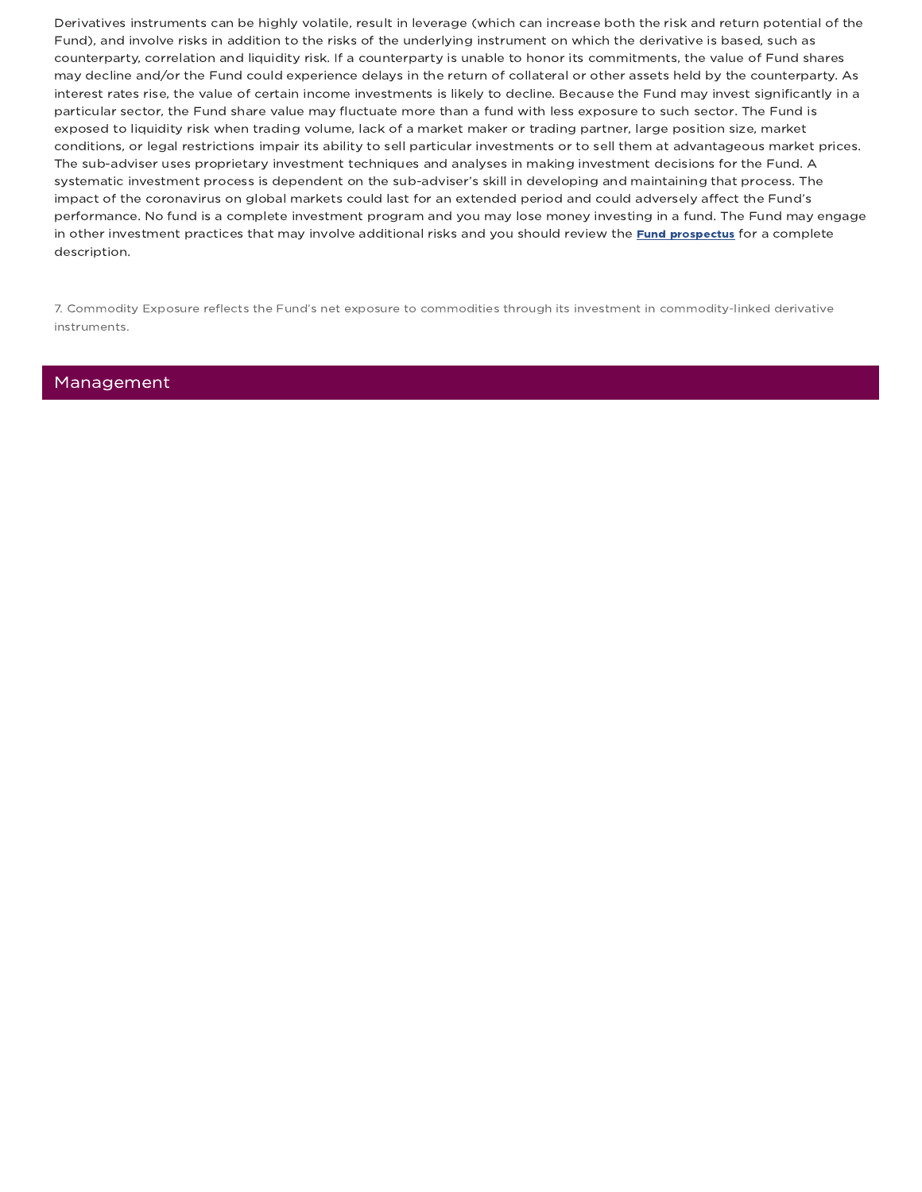Derivatives instruments can be highly volatile, result in leverage (which can increase both the risk and return potential of the Fund), and involve risks in addition to the risks of the underlying instrument on which the derivative is based, such as counterparty, correlation and liquidity risk. If a counterparty is unable to honor its commitments, the value of Fund shares may decline and/or the Fund could experience delays in the return of collateral or other assets held by the counterparty. As interest rates rise, the value of certain income investments is likely to decline. Because the Fund may invest significantly in a particular sector, the Fund share value may fluctuate more than a fund with less exposure to such sector. The Fund is exposed to liquidity risk when trading volume, lack of a market maker or trading partner, large position size, market conditions, or legal restrictions impair its ability to sell particular investments or to sell them at advantageous market prices. The sub-adviser uses proprietary investment techniques and analyses in making investment decisions for the Fund. A systematic investment process is dependent on the sub-adviser's skill in developing and maintaining that process. The impact of the coronavirus on global markets could last for an extended period and could adversely affect the Fund's performance. No fund is a complete investment program and you may lose money investing in a fund. The Fund may engage in other investment practices that may involve additional risks and you should review the Fund prospectus for a complete description.

7. Commodity Exposure reflects the Fund's net exposure to commodities through its investment in commodity-linked derivative instruments.

### Management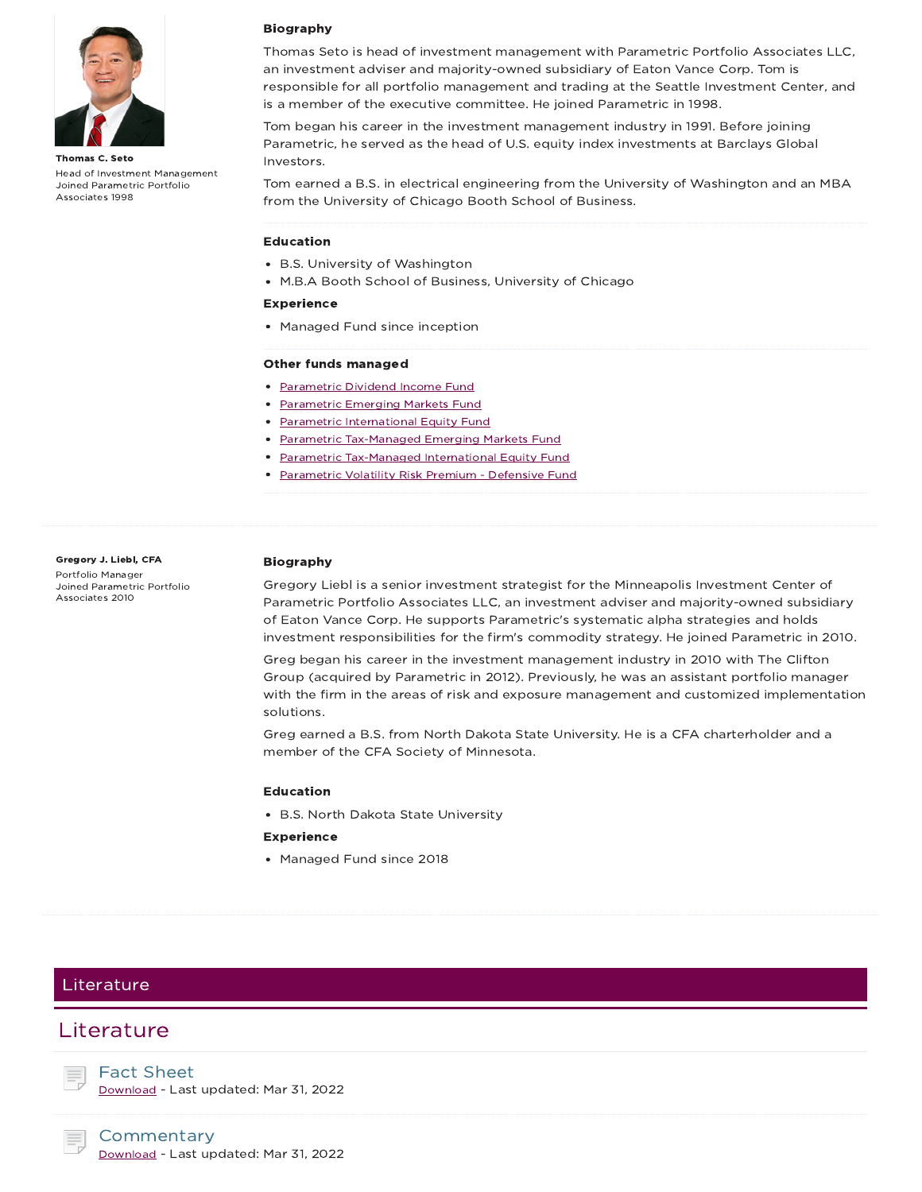

Thomas C. Seto Head of Investment Management Joined Parametric Portfolio Associates 1998

#### Biography

Thomas Seto is head of investment management with Parametric Portfolio Associates LLC, an investment adviser and majority-owned subsidiary of Eaton Vance Corp. Tom is responsible for all portfolio management and trading at the Seattle Investment Center, and is a member of the executive committee. He joined Parametric in 1998.

Tom began his career in the investment management industry in 1991. Before joining Parametric, he served as the head of U.S. equity index investments at Barclays Global Investors.

Tom earned a B.S. in electrical engineering from the University of Washington and an MBA from the University of Chicago Booth School of Business.

#### Education

- B.S. University of Washington
- M.B.A Booth School of Business, University of Chicago

#### Experience

• Managed Fund since inception

#### Other funds managed

- Parametric Dividend Income Fund
- Parametric Emerging Markets Fund
- Parametric International Equity Fund
- Parametric Tax-Managed Emerging Markets Fund
- Parametric Tax-Managed International Equity Fund
- Parametric Volatility Risk Premium Defensive Fund

#### Gregory J. Liebl, CFA Portfolio Manager Joined Parametric Portfolio Associates 2010

#### Biography

Gregory Liebl is a senior investment strategist for the Minneapolis Investment Center of Parametric Portfolio Associates LLC, an investment adviser and majority-owned subsidiary of Eaton Vance Corp. He supports Parametric's systematic alpha strategies and holds investment responsibilities for the firm's commodity strategy. He joined Parametric in 2010.

Greg began his career in the investment management industry in 2010 with The Clifton Group (acquired by Parametric in 2012). Previously, he was an assistant portfolio manager with the firm in the areas of risk and exposure management and customized implementation solutions.

Greg earned a B.S. from North Dakota State University. He is a CFA charterholder and a member of the CFA Society of Minnesota.

#### Education

B.S. North Dakota State University

#### Experience

Managed Fund since 2018

### Literature

### Literature

Fact Sheet

Download - Last updated: Mar 31, 2022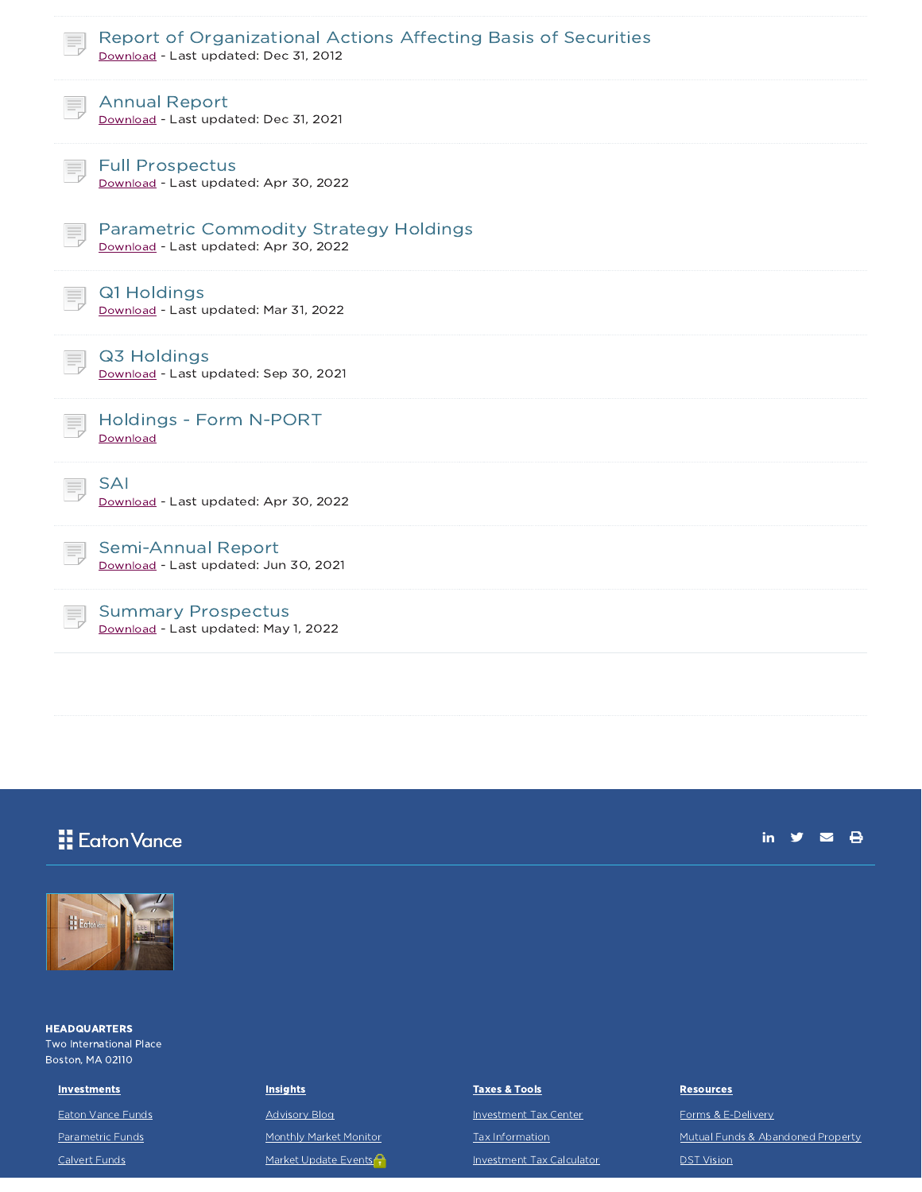| Report of Organizational Actions Affecting Basis of Securities<br>Download - Last updated: Dec 31, 2012 |
|---------------------------------------------------------------------------------------------------------|
| <b>Annual Report</b><br>Download - Last updated: Dec 31, 2021                                           |
| <b>Full Prospectus</b><br>Download - Last updated: Apr 30, 2022                                         |
| <b>Parametric Commodity Strategy Holdings</b><br>Download - Last updated: Apr 30, 2022                  |
| Q1 Holdings<br>Download - Last updated: Mar 31, 2022                                                    |
| Q3 Holdings<br>Download - Last updated: Sep 30, 2021                                                    |
| <b>Holdings - Form N-PORT</b><br>Download                                                               |
| <b>SAI</b><br>Download - Last updated: Apr 30, 2022                                                     |
| <b>Semi-Annual Report</b><br>Download - Last updated: Jun 30, 2021                                      |
| <b>Summary Prospectus</b><br>Download - Last updated: May 1, 2022                                       |
|                                                                                                         |

## **H** Eaton Vance

in  $y = \theta$ 



**HEADQUARTERS** Two International Place Boston, MA 02110

#### **Investments**

Eaton Vance Funds

Parametric Funds

Calvert Funds

#### **Insights**

Advisory Blog

Monthly Market Monitor

Market Update Events

### Taxes & Tools

Investment Tax Center Tax Information

Investment Tax Calculator

#### **Resources**

Forms & E-Delivery Mutual Funds & Abandoned Property DST Vision